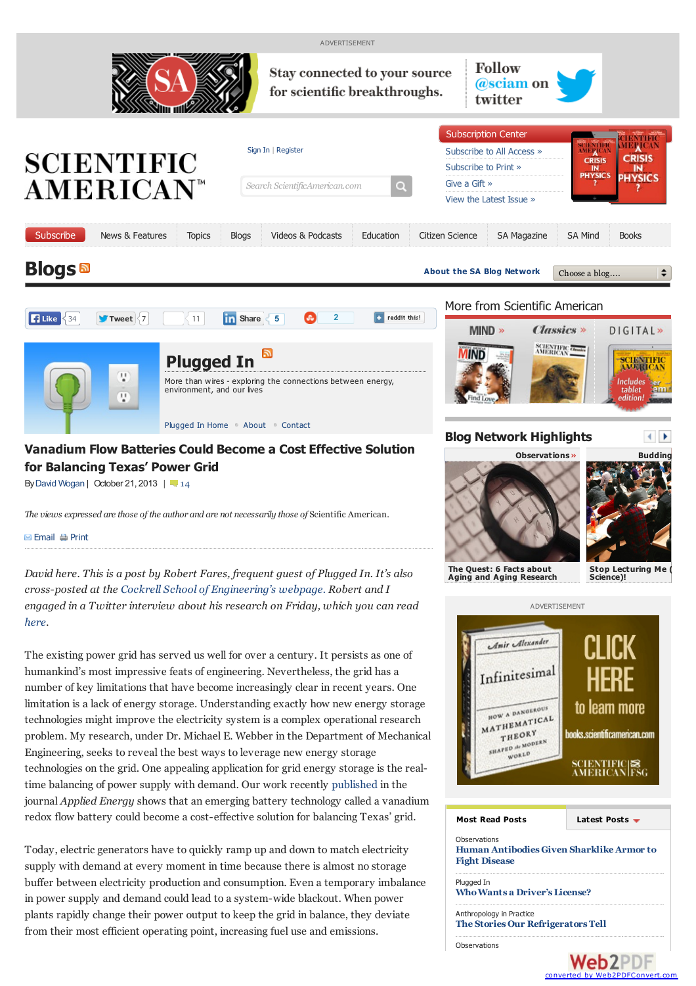

<span id="page-0-0"></span>**Web2PDF** converted by [Web2PDFConvert.com](http://www.web2pdfconvert.com?ref=PDF)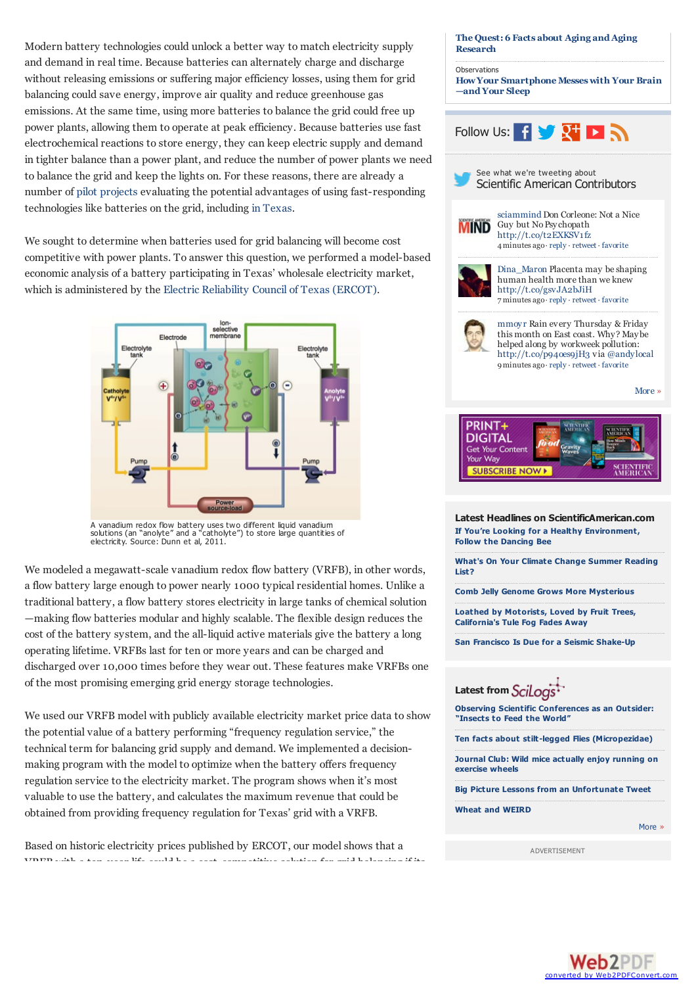Modern battery technologies could unlock a better way to match electricity supply and demand in real time. Because batteries can alternately charge and discharge without releasing emissions or suffering major efficiency losses, using them for grid balancing could save energy, improve air quality and reduce greenhouse gas emissions. At the same time, using more batteries to balance the grid could free up power plants, allowing them to operate at peak efficiency. Because batteries use fast electrochemical reactions to store energy, they can keep electric supply and demand in tighter balance than a power plant, and reduce the number of power plants we need to balance the grid and keep the lights on. For these reasons, there are already a number of pilot [projects](http://www.energystorageexchange.org/projects?utf8=%E2%9C%93&technology_type_sort_eq=&country_sort_eq=&state_sort_eq=&kW=&kWh=&benefit_stream_inf=Frequency+Regulation&ownership_model_eq=&status_eq=&siting_eq=&show_unapproved=%7B%7D&order_by=&sort_order=&search_page=1&size_kw_ll=&size_kw_ul=&size_kwh_ll=&size_kwh_ul=) evaluating the potential advantages of using fast-responding technologies like batteries on the grid, including in [Texas](http://www.ercot.com/mktrules/pilots/frrs/index).

We sought to determine when batteries used for grid balancing will become cost competitive with power plants. To answer this question, we performed a model-based economic analysis of a battery participating in Texas' wholesale electricity market, which is administered by the Electric [Reliability](http://stateimpact.npr.org/texas/tag/ercot/) Council of Texas (ERCOT).



A vanadium redox flow battery uses two different liquid vanadium solutions (an "anolyte" and a "catholyte") to store large quantities of electricity. Source: Dunn et al, 2011.

We modeled a megawatt-scale vanadium redox flow battery (VRFB), in other words, a flow battery large enough to power nearly 1000 typical residential homes. Unlike a traditional battery, a flow battery stores electricity in large tanks of chemical solution —making flow batteries modular and highly scalable. The flexible design reduces the cost of the battery system, and the all-liquid active materials give the battery a long operating lifetime. VRFBs last for ten or more years and can be charged and discharged over 10,000 times before they wear out. These features make VRFBs one of the most promising emerging grid energy storage technologies.

We used our VRFB model with publicly available electricity market price data to show the potential value of a battery performing "frequency regulation service," the technical term for balancing grid supply and demand. We implemented a decisionmaking program with the model to optimize when the battery offers frequency regulation service to the electricity market. The program shows when it's most valuable to use the battery, and calculates the maximum revenue that could be obtained from providing frequency regulation for Texas' grid with a VRFB.

Based on historic electricity prices published by ERCOT, our model shows that a  $V(\overline{D})$  with a ten-year life could be a cost-competitive solution for grid balancing if its indicate if its indicate if its indicate  $V(\overline{D})$ 

## **The Quest: 6 Facts about Aging [andAging](http://blogs.scientificamerican.com/observations/?p=19913) Research** [Observations](http://blogs.scientificamerican.com/observations) **HowYour [Smartphone](http://blogs.scientificamerican.com/observations/?p=19821) Messes with Your Brain —andYour Sleep** Follow Us:  $f \times Y$   $\Box$ See what we're tweeting about Scientific American Contributors [sciammind](http://twitter.com/sciammind) Don Corleone: Not a Nice **IIND** Guy but NoPsychopath <http://t.co/t2EXKSV1fz> 4minutes ago· [reply](http://twitter.com/intent/tweet?in_reply_to=469562154346369025) · [retweet](http://twitter.com/intent/retweet?tweet_id=469562154346369025) · [favorite](http://twitter.com/intent/favorite?tweet_id=469562154346369025) [Dina\\_Maron](http://twitter.com/Dina_Maron) Placenta may be shaping human health more than we knew <http://t.co/gsvJA2bJiH> 7 minutes ago· [reply](http://twitter.com/intent/tweet?in_reply_to=469561504715784192) · [retweet](http://twitter.com/intent/retweet?tweet_id=469561504715784192) · [favorite](http://twitter.com/intent/favorite?tweet_id=469561504715784192) [mmoyr](http://twitter.com/mmoyr) Rain every Thursday & Friday this month on East coast. Why? Maybe helped along by workweek pollution: <http://t.co/p94oes9jH3> via [@andylocal](http://twitter.com/andylocal) 9minutes ago· [reply](http://twitter.com/intent/tweet?in_reply_to=469560791797366784) · [retweet](http://twitter.com/intent/retweet?tweet_id=469560791797366784) · [favorite](http://twitter.com/intent/favorite?tweet_id=469560791797366784) [More](https://twitter.com/sciam/sciam-contributors-2) » PRINT+ **SUBSTITE DIGITAL** Get Your Content Your Way **SCIENTIFI**<br>AMERICA! **SURSCRIBE NOW K Latest Headlines on ScientificAmerican.com If You're Looking for a Healthy [Environment,](http://www.scientificamerican.com/article/if-you-re-looking-for-a-healthy-environment-follow-the-dancing-bee/) Follow the Dancing Bee What's On Your Climate Change [Summer](http://www.scientificamerican.com/article/whats-on-your-climate-change-summer-reading-list/) Reading List? Comb Jelly Genome Grows More [Mysterious](http://www.scientificamerican.com/article/comb-jelly-genome-grows-more-mysterious/) Loathed by [Motorists,](http://www.scientificamerican.com/article/loathed-by-motorists-loved-by-fruit-trees-californias-tule-fog-fades-away/) Loved by Fruit Trees, California's Tule Fog Fades Away San Francisco Is Due for a Seismic [Shake-Up](http://www.scientificamerican.com/article/san-francisco-is-due-for-a-seismic-shake-up/) Latest from Observing Scientific [Conferences](http://www.scilogs.com/community_blog/observing-scientific-conferences-as-an-outsider-%E2%80%8Ainsects-to-feed-the-world/) as an Outsider: "Insects to Feed the World" Ten facts about stilt-legged Flies [\(Micropezidae\)](http://www.scilogs.com/expiscor/ten-facts-about-stilt-legged-flies-micropezidae/) Journal Club: Wild mice actually enjoy [running](http://www.scilogs.com/maniraptora/journal-club-wild-mice-actually-enjoy-running-on-exercise-wheels/) on exercise wheels Big Picture Lessons from an [Unfortunate](http://www.scilogs.com/communication_breakdown/shepherd-climate-discussion/) Tweet**

**Wheat and [WEIRD](http://www.scilogs.com/jid/wheat-and-weird/)**

[More](http://www.scilogs.com/)

ADVERTISEMENT